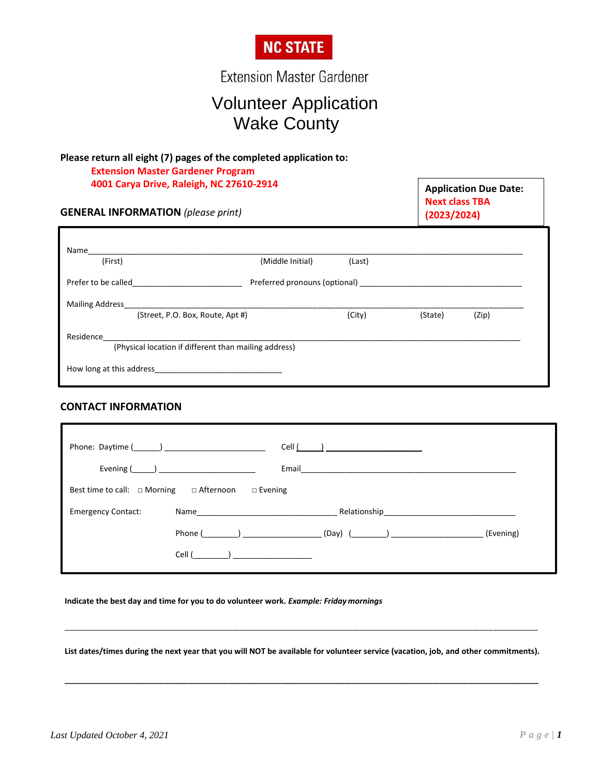

**Extension Master Gardener** 

# Volunteer Application Wake County

 $\sqrt{ }$ 

# **Please return all eight (7) pages of the completed application to: Extension Master Gardener Program**

| 4001 Carya Drive, Raleigh, NC 27610-2914<br><b>GENERAL INFORMATION</b> (please print)                                                                                                                                         | <b>Application Due Date:</b><br><b>Next class TBA</b><br>(2023/2024) |        |         |       |
|-------------------------------------------------------------------------------------------------------------------------------------------------------------------------------------------------------------------------------|----------------------------------------------------------------------|--------|---------|-------|
| Name                                                                                                                                                                                                                          |                                                                      |        |         |       |
| (First)                                                                                                                                                                                                                       | (Middle Initial)                                                     | (Last) |         |       |
| Prefer to be called                                                                                                                                                                                                           | Preferred pronouns (optional)                                        |        |         |       |
| <b>Mailing Address</b>                                                                                                                                                                                                        |                                                                      |        |         |       |
| (Street, P.O. Box, Route, Apt #)                                                                                                                                                                                              |                                                                      | (City) | (State) | (Zip) |
| Residence and the contract of the contract of the contract of the contract of the contract of the contract of the contract of the contract of the contract of the contract of the contract of the contract of the contract of |                                                                      |        |         |       |
|                                                                                                                                                                                                                               | (Physical location if different than mailing address)                |        |         |       |
| How long at this address example to the state of the state of the state of the state of the state of the state of the state of the state of the state of the state of the state of the state of the state of the state of the |                                                                      |        |         |       |

### **CONTACT INFORMATION**

|                                                                      |                                                                                                               | Cell ( ) |                                               |           |  |  |  |
|----------------------------------------------------------------------|---------------------------------------------------------------------------------------------------------------|----------|-----------------------------------------------|-----------|--|--|--|
|                                                                      | Evening $\begin{pmatrix} 0 & 1 \\ 0 & 1 \end{pmatrix}$                                                        | Email    |                                               |           |  |  |  |
| Best time to call: $\Box$ Morning $\Box$ Afternoon<br>$\Box$ Evening |                                                                                                               |          |                                               |           |  |  |  |
|                                                                      |                                                                                                               |          |                                               |           |  |  |  |
| <b>Emergency Contact:</b>                                            | Name and the state of the state of the state of the state of the state of the state of the state of the state |          |                                               |           |  |  |  |
|                                                                      | Phone ( and )                                                                                                 |          | _ (Day) (___________) _______________________ | (Evening) |  |  |  |

**Indicate the best day and time for you to do volunteer work.** *Example: Friday mornings*

**List dates/times during the next year that you will NOT be available for volunteer service (vacation, job, and other commitments).**

\_\_\_\_\_\_\_\_\_\_\_\_\_\_\_\_\_\_\_\_\_\_\_\_\_\_\_\_\_\_\_\_\_\_\_\_\_\_\_\_\_\_\_\_\_\_\_\_\_\_\_\_\_\_\_\_\_\_\_\_\_\_\_\_\_\_\_\_\_\_\_\_\_\_\_\_\_\_\_\_\_

\_\_\_\_\_\_\_\_\_\_\_\_\_\_\_\_\_\_\_\_\_\_\_\_\_\_\_\_\_\_\_\_\_\_\_\_\_\_\_\_\_\_\_\_\_\_\_\_\_\_\_\_\_\_\_\_\_\_\_\_\_\_\_\_\_\_\_\_\_\_\_\_\_\_\_\_\_\_\_\_\_\_\_\_\_\_\_\_\_\_\_\_\_\_\_\_\_\_\_\_\_\_\_\_\_\_\_\_\_\_\_\_\_\_\_\_\_\_\_\_\_\_\_\_\_\_\_\_\_\_\_\_\_\_\_\_\_\_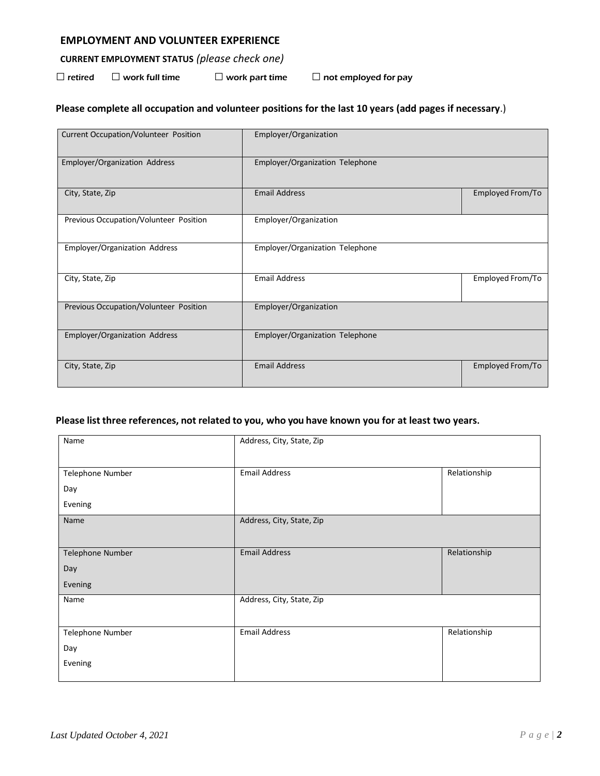#### **EMPLOYMENT AND VOLUNTEER EXPERIENCE**

## **CURRENT EMPLOYMENT STATUS** *(please check one)*

 $\Box$  retired  $\Box$  work full time  $\Box$  work part time  $\Box$  not employed for pay

## **Please complete all occupation and volunteer positions for the last 10 years (add pages if necessary**.)

| Current Occupation/Volunteer Position  | Employer/Organization           |                  |
|----------------------------------------|---------------------------------|------------------|
| Employer/Organization Address          | Employer/Organization Telephone |                  |
| City, State, Zip                       | <b>Email Address</b>            | Employed From/To |
| Previous Occupation/Volunteer Position | Employer/Organization           |                  |
| Employer/Organization Address          | Employer/Organization Telephone |                  |
| City, State, Zip                       | <b>Email Address</b>            | Employed From/To |
| Previous Occupation/Volunteer Position | Employer/Organization           |                  |
| Employer/Organization Address          | Employer/Organization Telephone |                  |
| City, State, Zip                       | <b>Email Address</b>            | Employed From/To |

#### **Please list three references, not related to you, who you have known you for at least two years.**

| Name             | Address, City, State, Zip |              |
|------------------|---------------------------|--------------|
|                  |                           |              |
| Telephone Number | <b>Email Address</b>      | Relationship |
| Day              |                           |              |
| Evening          |                           |              |
| Name             | Address, City, State, Zip |              |
|                  |                           |              |
| Telephone Number | <b>Email Address</b>      | Relationship |
| Day              |                           |              |
| Evening          |                           |              |
| Name             | Address, City, State, Zip |              |
|                  |                           |              |
| Telephone Number | <b>Email Address</b>      | Relationship |
| Day              |                           |              |
| Evening          |                           |              |
|                  |                           |              |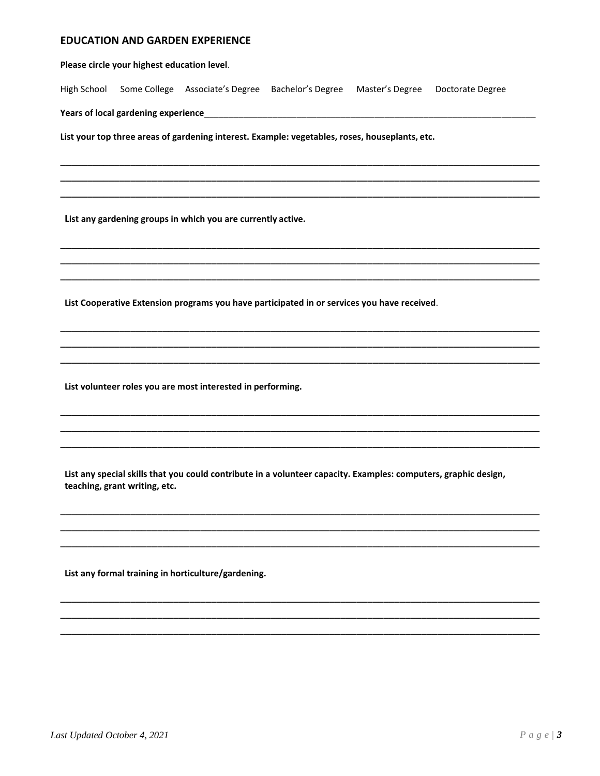#### **EDUCATION AND GARDEN EXPERIENCE**

Please circle your highest education level.

High School Some College Associate's Degree Bachelor's Degree Master's Degree Doctorate Degree

Years of local gardening experience<br>
The manufactured and the manufactured and the manufactured and the manufactured and the manufactured and the m

List your top three areas of gardening interest. Example: vegetables, roses, houseplants, etc.

List any gardening groups in which you are currently active.

List Cooperative Extension programs you have participated in or services you have received.

List volunteer roles you are most interested in performing.

List any special skills that you could contribute in a volunteer capacity. Examples: computers, graphic design, teaching, grant writing, etc.

List any formal training in horticulture/gardening.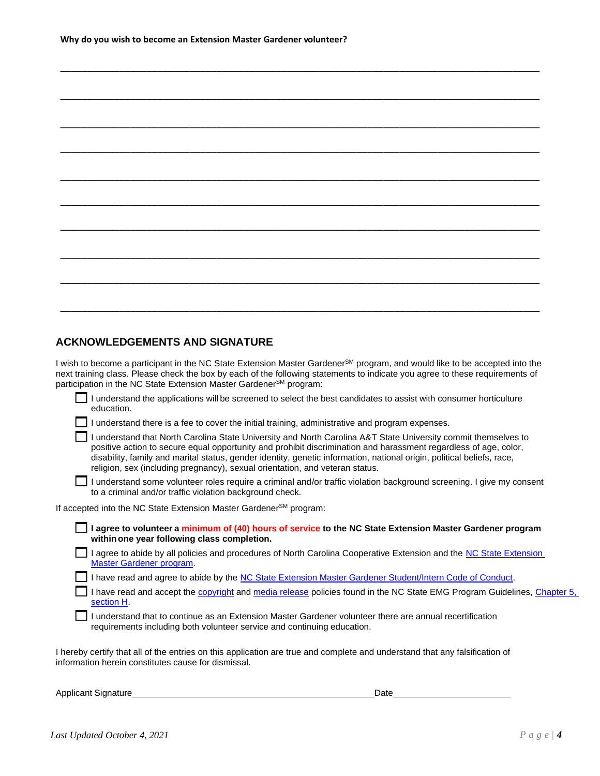\_\_\_\_\_\_\_\_\_\_\_\_\_\_\_\_\_\_\_\_\_\_\_\_\_\_\_\_\_\_\_\_\_\_\_\_\_\_\_\_\_\_\_\_\_\_\_\_\_\_\_\_\_\_\_\_\_\_\_\_\_\_\_\_\_\_\_\_\_\_\_\_\_\_\_\_\_\_\_\_\_\_\_\_\_\_\_\_\_

#### **ACKNOWLEDGEMENTS AND SIGNATURE**

I wish to become a participant in the NC State Extension Master Gardener<sup>SM</sup> program, and would like to be accepted into the next training class. Please check the box by each of the following statements to indicate you agree to these requirements of participation in the NC State Extension Master Gardener<sup>SM</sup> program:

|            |  | I understand the applications will be screened to select the best candidates to assist with consumer horticulture |
|------------|--|-------------------------------------------------------------------------------------------------------------------|
| education. |  |                                                                                                                   |

 $\Box$  I understand there is a fee to cover the initial training, administrative and program expenses.

| I understand that North Carolina State University and North Carolina A&T State University commit themselves to         |
|------------------------------------------------------------------------------------------------------------------------|
| positive action to secure equal opportunity and prohibit discrimination and harassment regardless of age, color,       |
| disability, family and marital status, gender identity, genetic information, national origin, political beliefs, race, |
| religion, sex (including pregnancy), sexual orientation, and veteran status.                                           |

I understand some volunteer roles require a criminal and/or traffic violation background screening. I give my consent to a criminal and/or traffic violation background check.

If accepted into the NC State Extension Master Gardener<sup>SM</sup> program:

**I agree to volunteer <sup>a</sup> minimum of (40) hours of service to the NC State Extension Master Gardener program withinone year following class completion.**

I agree to abide by all policies and procedures of North Carolina Cooperative Extension and the NC State Extension [Master Gardener](https://docs.google.com/document/d/1-ZEmfXu0TxWGDPp8mytW4TvV66wjuqpZ6bx5NN5gPlI/edit?usp=sharing) program.

I have read and agree to abide by the [NC State Extension Master Gardener Student/Intern Code of Conduct.](https://docs.google.com/document/d/1F0eRsA6IY3zz6j_2wWi0297AKW-byyBlS4Qo9TxiXds/edit?usp=sharing)

I have read and accept the [copyright](https://docs.google.com/document/d/1-ZEmfXu0TxWGDPp8mytW4TvV66wjuqpZ6bx5NN5gPlI/edit#bookmark=id.yx2714h944s5) an[d media release](https://docs.google.com/document/d/1-ZEmfXu0TxWGDPp8mytW4TvV66wjuqpZ6bx5NN5gPlI/edit#bookmark=id.j56mreqdsnj1) policies found in the NC State EMG Program Guidelines, Chapter 5, [section H.](https://docs.google.com/document/d/1-ZEmfXu0TxWGDPp8mytW4TvV66wjuqpZ6bx5NN5gPlI/edit#bookmark=id.8n3l2de3umqh)

I understand that to continue as an Extension Master Gardener volunteer there are annual recertification requirements including both volunteer service and continuing education.

I hereby certify that all of the entries on this application are true and complete and understand that any falsification of information herein constitutes cause for dismissal.

Applicant Signature Date **Date**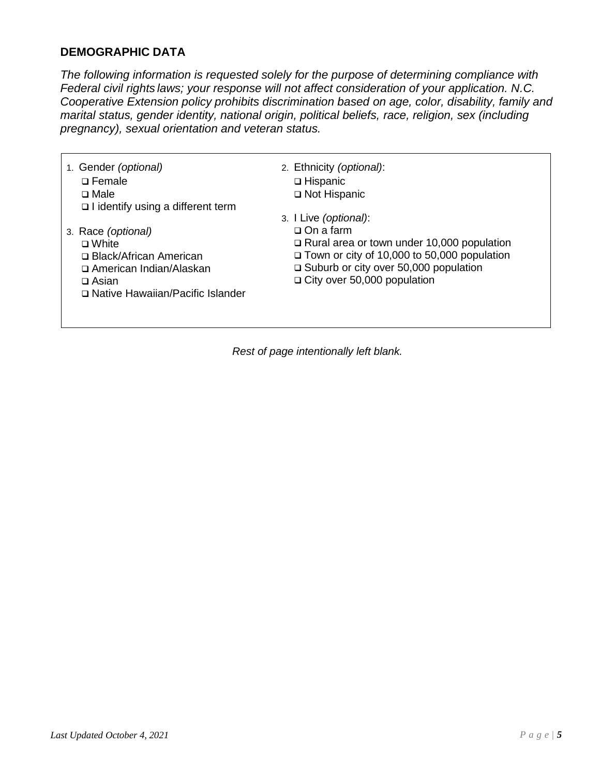# **DEMOGRAPHIC DATA**

 $\Gamma$ 

*The following information is requested solely for the purpose of determining compliance with Federal civil rights laws; your response will not affect consideration of your application. N.C. Cooperative Extension policy prohibits discrimination based on age, color, disability, family and marital status, gender identity, national origin, political beliefs, race, religion, sex (including pregnancy), sexual orientation and veteran status.*

| 1. Gender (optional)<br>$\square$ Female<br>$\square$ Male | 2. Ethnicity (optional):<br>$\Box$ Hispanic<br>□ Not Hispanic |
|------------------------------------------------------------|---------------------------------------------------------------|
| $\Box$ I identify using a different term                   |                                                               |
|                                                            | 3. I Live (optional):                                         |
| 3. Race (optional)                                         | $\Box$ On a farm                                              |
| $\Box$ White                                               | $\Box$ Rural area or town under 10,000 population             |
| □ Black/African American                                   | $\Box$ Town or city of 10,000 to 50,000 population            |
| □ American Indian/Alaskan                                  | $\Box$ Suburb or city over 50,000 population                  |
| $\Box$ Asian                                               | $\Box$ City over 50,000 population                            |
| □ Native Hawaiian/Pacific Islander                         |                                                               |
|                                                            |                                                               |
|                                                            |                                                               |

*Rest of page intentionally left blank.*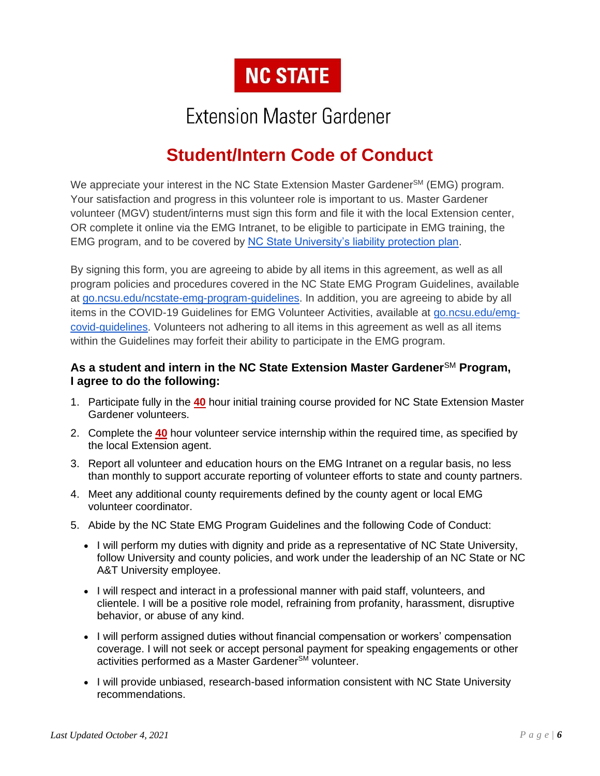

# **Extension Master Gardener**

# **Student/Intern Code of Conduct**

We appreciate your interest in the NC State Extension Master Gardener<sup>SM</sup> (EMG) program. Your satisfaction and progress in this volunteer role is important to us. Master Gardener volunteer (MGV) student/interns must sign this form and file it with the local Extension center, OR complete it online via the EMG Intranet, to be eligible to participate in EMG training, the EMG program, and to be covered by [NC State University's liability protection plan.](https://irm.ehps.ncsu.edu/liability-insurance/)

By signing this form, you are agreeing to abide by all items in this agreement, as well as all program policies and procedures covered in the NC State EMG Program Guidelines, available at [go.ncsu.edu/ncstate-emg-program-guidelines.](https://go.ncsu.edu/ncstate-emg-program-guidelines) In addition, you are agreeing to abide by all items in the COVID-19 Guidelines for EMG Volunteer Activities, available at [go.ncsu.edu/emg](https://go.ncsu.edu/emg-covid-guidelines)[covid-guidelines.](https://go.ncsu.edu/emg-covid-guidelines) Volunteers not adhering to all items in this agreement as well as all items within the Guidelines may forfeit their ability to participate in the EMG program.

## **As a student and intern in the NC State Extension Master Gardener**SM **Program, I agree to do the following:**

- 1. Participate fully in the **40** hour initial training course provided for NC State Extension Master Gardener volunteers.
- 2. Complete the **40** hour volunteer service internship within the required time, as specified by the local Extension agent.
- 3. Report all volunteer and education hours on the EMG Intranet on a regular basis, no less than monthly to support accurate reporting of volunteer efforts to state and county partners.
- 4. Meet any additional county requirements defined by the county agent or local EMG volunteer coordinator.
- 5. Abide by the NC State EMG Program Guidelines and the following Code of Conduct:
	- I will perform my duties with dignity and pride as a representative of NC State University, follow University and county policies, and work under the leadership of an NC State or NC A&T University employee.
	- I will respect and interact in a professional manner with paid staff, volunteers, and clientele. I will be a positive role model, refraining from profanity, harassment, disruptive behavior, or abuse of any kind.
	- I will perform assigned duties without financial compensation or workers' compensation coverage. I will not seek or accept personal payment for speaking engagements or other activities performed as a Master Gardener<sup>SM</sup> volunteer.
	- I will provide unbiased, research-based information consistent with NC State University recommendations.